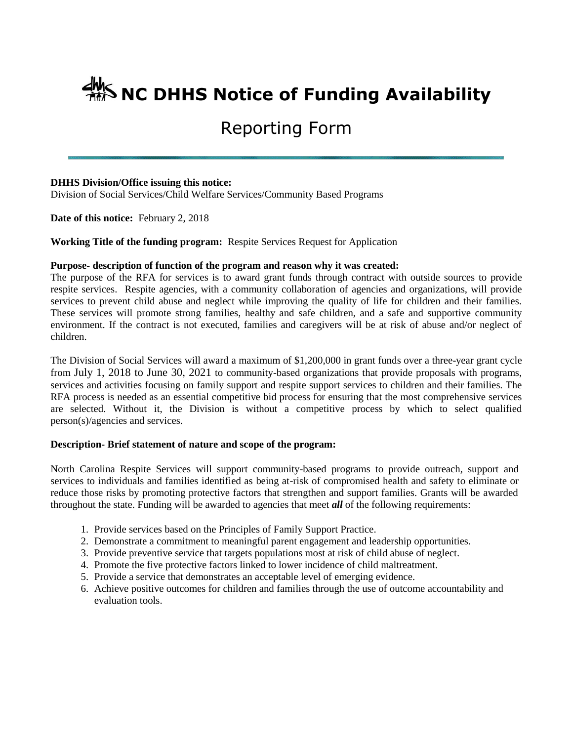# **AMS NC DHHS Notice of Funding Availability**

## Reporting Form

#### **DHHS Division/Office issuing this notice:**

Division of Social Services/Child Welfare Services/Community Based Programs

**Date of this notice:** February 2, 2018

**Working Title of the funding program:** Respite Services Request for Application

#### **Purpose- description of function of the program and reason why it was created:**

The purpose of the RFA for services is to award grant funds through contract with outside sources to provide respite services. Respite agencies, with a community collaboration of agencies and organizations, will provide services to prevent child abuse and neglect while improving the quality of life for children and their families. These services will promote strong families, healthy and safe children, and a safe and supportive community environment. If the contract is not executed, families and caregivers will be at risk of abuse and/or neglect of children.

The Division of Social Services will award a maximum of \$1,200,000 in grant funds over a three-year grant cycle from July 1, 2018 to June 30, 2021 to community-based organizations that provide proposals with programs, services and activities focusing on family support and respite support services to children and their families. The RFA process is needed as an essential competitive bid process for ensuring that the most comprehensive services are selected. Without it, the Division is without a competitive process by which to select qualified person(s)/agencies and services.

#### **Description- Brief statement of nature and scope of the program:**

North Carolina Respite Services will support community-based programs to provide outreach, support and services to individuals and families identified as being at-risk of compromised health and safety to eliminate or reduce those risks by promoting protective factors that strengthen and support families. Grants will be awarded throughout the state. Funding will be awarded to agencies that meet *all* of the following requirements:

- 1. Provide services based on the Principles of Family Support Practice.
- 2. Demonstrate a commitment to meaningful parent engagement and leadership opportunities.
- 3. Provide preventive service that targets populations most at risk of child abuse of neglect.
- 4. Promote the five protective factors linked to lower incidence of child maltreatment.
- 5. Provide a service that demonstrates an acceptable level of emerging evidence.
- 6. Achieve positive outcomes for children and families through the use of outcome accountability and evaluation tools.